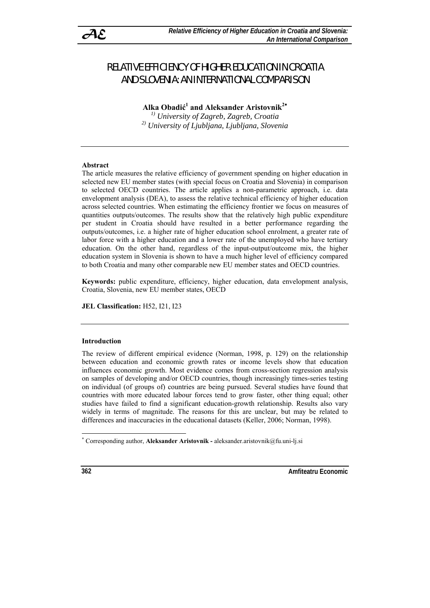# RELATIVE EFFICIENCY OF HIGHER EDUCATION IN CROATIA AND SLOVENIA: AN INTERNATIONAL COMPARISON

**Alka Obadić 1 and Aleksander Aristovnik<sup>2</sup>**<sup>∗</sup>

*1) University of Zagreb, Zagreb, Croatia 2) University of Ljubljana, Ljubljana, Slovenia* 

## **Abstract**

The article measures the relative efficiency of government spending on higher education in selected new EU member states (with special focus on Croatia and Slovenia) in comparison to selected OECD countries. The article applies a non-parametric approach, i.e. data envelopment analysis (DEA), to assess the relative technical efficiency of higher education across selected countries. When estimating the efficiency frontier we focus on measures of quantities outputs/outcomes. The results show that the relatively high public expenditure per student in Croatia should have resulted in a better performance regarding the outputs/outcomes, i.e. a higher rate of higher education school enrolment, a greater rate of labor force with a higher education and a lower rate of the unemployed who have tertiary education. On the other hand, regardless of the input-output/outcome mix, the higher education system in Slovenia is shown to have a much higher level of efficiency compared to both Croatia and many other comparable new EU member states and OECD countries.

**Keywords:** public expenditure, efficiency, higher education, data envelopment analysis, Croatia, Slovenia, new EU member states, OECD

**JEL Classification:** H52, I21, I23

## **Introduction**

The review of different empirical evidence (Norman, 1998, p. 129) on the relationship between education and economic growth rates or income levels show that education influences economic growth. Most evidence comes from cross-section regression analysis on samples of developing and/or OECD countries, though increasingly times-series testing on individual (of groups of) countries are being pursued. Several studies have found that countries with more educated labour forces tend to grow faster, other thing equal; other studies have failed to find a significant education-growth relationship. Results also vary widely in terms of magnitude. The reasons for this are unclear, but may be related to differences and inaccuracies in the educational datasets (Keller, 2006; Norman, 1998).

**362 Amfiteatru Economic** 

 $\overline{a}$ 

<sup>∗</sup> Corresponding author, **Aleksander Aristovnik -** aleksander.aristovnik@fu.uni-lj.si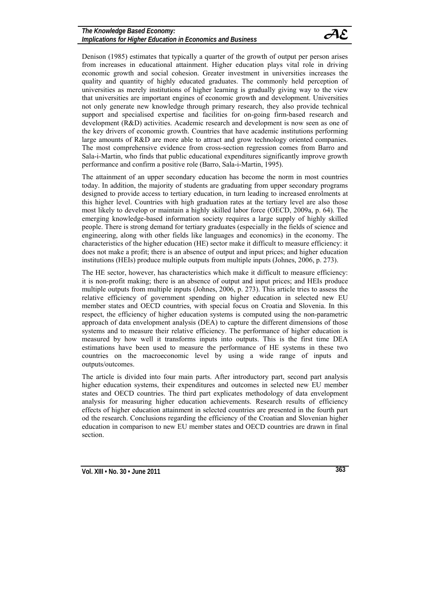

Denison (1985) estimates that typically a quarter of the growth of output per person arises from increases in educational attainment. Higher education plays vital role in driving economic growth and social cohesion. Greater investment in universities increases the quality and quantity of highly educated graduates. The commonly held perception of universities as merely institutions of higher learning is gradually giving way to the view that universities are important engines of economic growth and development. Universities not only generate new knowledge through primary research, they also provide technical support and specialised expertise and facilities for on-going firm-based research and development (R&D) activities. Academic research and development is now seen as one of the key drivers of economic growth. Countries that have academic institutions performing large amounts of R&D are more able to attract and grow technology oriented companies. The most comprehensive evidence from cross-section regression comes from Barro and Sala-i-Martin, who finds that public educational expenditures significantly improve growth performance and confirm a positive role (Barro, Sala-i-Martin, 1995).

The attainment of an upper secondary education has become the norm in most countries today. In addition, the majority of students are graduating from upper secondary programs designed to provide access to tertiary education, in turn leading to increased enrolments at this higher level. Countries with high graduation rates at the tertiary level are also those most likely to develop or maintain a highly skilled labor force (OECD, 2009a, p. 64). The emerging knowledge-based information society requires a large supply of highly skilled people. There is strong demand for tertiary graduates (especially in the fields of science and engineering, along with other fields like languages and economics) in the economy. The characteristics of the higher education (HE) sector make it difficult to measure efficiency: it does not make a profit; there is an absence of output and input prices; and higher education institutions (HEIs) produce multiple outputs from multiple inputs (Johnes, 2006, p. 273).

The HE sector, however, has characteristics which make it difficult to measure efficiency: it is non-profit making; there is an absence of output and input prices; and HEIs produce multiple outputs from multiple inputs (Johnes, 2006, p. 273). This article tries to assess the relative efficiency of government spending on higher education in selected new EU member states and OECD countries, with special focus on Croatia and Slovenia. In this respect, the efficiency of higher education systems is computed using the non-parametric approach of data envelopment analysis (DEA) to capture the different dimensions of those systems and to measure their relative efficiency. The performance of higher education is measured by how well it transforms inputs into outputs. This is the first time DEA estimations have been used to measure the performance of HE systems in these two countries on the macroeconomic level by using a wide range of inputs and outputs/outcomes.

The article is divided into four main parts. After introductory part, second part analysis higher education systems, their expenditures and outcomes in selected new EU member states and OECD countries. The third part explicates methodology of data envelopment analysis for measuring higher education achievements. Research results of efficiency effects of higher education attainment in selected countries are presented in the fourth part od the research. Conclusions regarding the efficiency of the Croatian and Slovenian higher education in comparison to new EU member states and OECD countries are drawn in final section.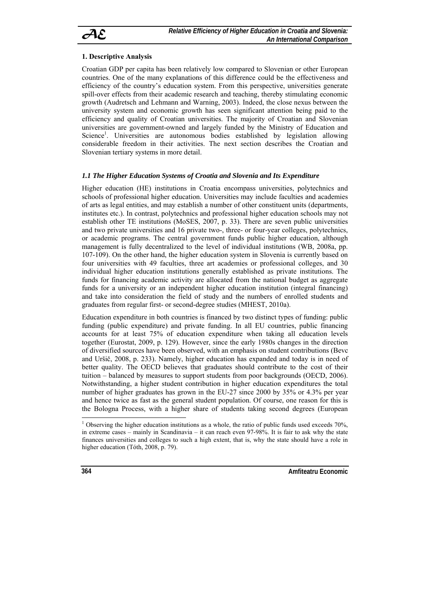

## **1. Descriptive Analysis**

Croatian GDP per capita has been relatively low compared to Slovenian or other European countries. One of the many explanations of this difference could be the effectiveness and efficiency of the country's education system. From this perspective, universities generate spill-over effects from their academic research and teaching, thereby stimulating economic growth (Audretsch and Lehmann and Warning, 2003). Indeed, the close nexus between the university system and economic growth has seen significant attention being paid to the efficiency and quality of Croatian universities. The majority of Croatian and Slovenian universities are government-owned and largely funded by the Ministry of Education and Science<sup>1</sup>. Universities are autonomous bodies established by legislation allowing considerable freedom in their activities. The next section describes the Croatian and Slovenian tertiary systems in more detail.

## *1.1 The Higher Education Systems of Croatia and Slovenia and Its Expenditure*

Higher education (HE) institutions in Croatia encompass universities, polytechnics and schools of professional higher education. Universities may include faculties and academies of arts as legal entities, and may establish a number of other constituent units (departments, institutes etc.). In contrast, polytechnics and professional higher education schools may not establish other TE institutions (MoSES, 2007, p. 33). There are seven public universities and two private universities and 16 private two-, three- or four-year colleges, polytechnics, or academic programs. The central government funds public higher education, although management is fully decentralized to the level of individual institutions (WB, 2008a, pp. 107-109). On the other hand, the higher education system in Slovenia is currently based on four universities with 49 faculties, three art academies or professional colleges, and 30 individual higher education institutions generally established as private institutions. The funds for financing academic activity are allocated from the national budget as aggregate funds for a university or an independent higher education institution (integral financing) and take into consideration the field of study and the numbers of enrolled students and graduates from regular first- or second-degree studies (MHEST, 2010a).

Education expenditure in both countries is financed by two distinct types of funding: public funding (public expenditure) and private funding. In all EU countries, public financing accounts for at least 75% of education expenditure when taking all education levels together (Eurostat, 2009, p. 129). However, since the early 1980s changes in the direction of diversified sources have been observed, with an emphasis on student contributions (Bevc and Uršič, 2008, p. 233). Namely, higher education has expanded and today is in need of better quality. The OECD believes that graduates should contribute to the cost of their tuition – balanced by measures to support students from poor backgrounds (OECD, 2006). Notwithstanding, a higher student contribution in higher education expenditures the total number of higher graduates has grown in the EU-27 since 2000 by 35% or 4.3% per year and hence twice as fast as the general student population. Of course, one reason for this is the Bologna Process, with a higher share of students taking second degrees (European

**364 Amfitteatru Economic Amfitteatru Economic Amfitteatru Economic** 

 $\overline{a}$ 

<sup>&</sup>lt;sup>1</sup> Observing the higher education institutions as a whole, the ratio of public funds used exceeds 70%, in extreme cases – mainly in Scandinavia – it can reach even 97-98%. It is fair to ask why the state finances universities and colleges to such a high extent, that is, why the state should have a role in higher education (Tóth, 2008, p. 79).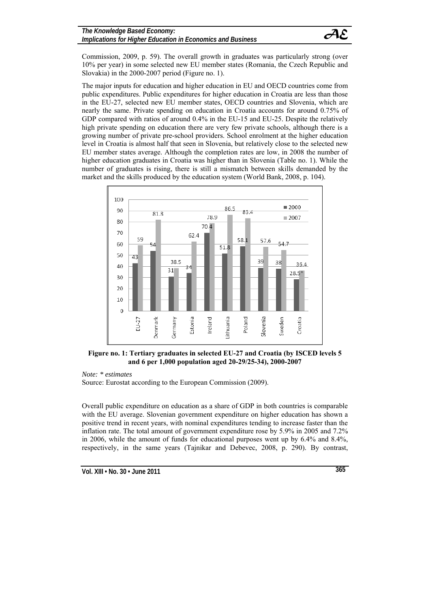

Commission, 2009, p. 59). The overall growth in graduates was particularly strong (over 10% per year) in some selected new EU member states (Romania, the Czech Republic and Slovakia) in the 2000-2007 period (Figure no. 1).

The major inputs for education and higher education in EU and OECD countries come from public expenditures. Public expenditures for higher education in Croatia are less than those in the EU-27, selected new EU member states, OECD countries and Slovenia, which are nearly the same. Private spending on education in Croatia accounts for around 0.75% of GDP compared with ratios of around  $0.4\%$  in the EU-15 and EU-25. Despite the relatively high private spending on education there are very few private schools, although there is a growing number of private pre-school providers. School enrolment at the higher education level in Croatia is almost half that seen in Slovenia, but relatively close to the selected new EU member states average. Although the completion rates are low, in 2008 the number of higher education graduates in Croatia was higher than in Slovenia (Table no. 1). While the number of graduates is rising, there is still a mismatch between skills demanded by the market and the skills produced by the education system (World Bank, 2008, p. 104).



**Figure no. 1: Tertiary graduates in selected EU-27 and Croatia (by ISCED levels 5 and 6 per 1,000 population aged 20-29/25-34), 2000-2007** 

*Note: \* estimates* 

Source: Eurostat according to the European Commission (2009).

Overall public expenditure on education as a share of GDP in both countries is comparable with the EU average. Slovenian government expenditure on higher education has shown a positive trend in recent years, with nominal expenditures tending to increase faster than the inflation rate. The total amount of government expenditure rose by 5.9% in 2005 and 7.2% in 2006, while the amount of funds for educational purposes went up by 6.4% and 8.4%, respectively, in the same years (Tajnikar and Debevec, 2008, p. 290). By contrast,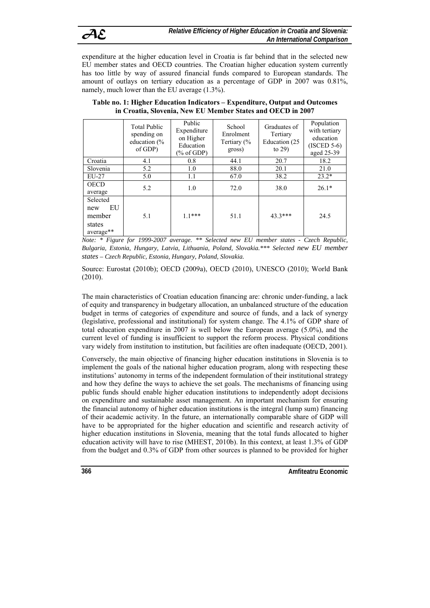expenditure at the higher education level in Croatia is far behind that in the selected new EU member states and OECD countries. The Croatian higher education system currently has too little by way of assured financial funds compared to European standards. The amount of outlays on tertiary education as a percentage of GDP in 2007 was 0.81%, namely, much lower than the EU average (1.3%).

|                                                        | <b>Total Public</b><br>spending on<br>education $\frac{6}{6}$<br>of GDP) | Public<br>Expenditure<br>on Higher<br>Education<br>$(\%$ of GDP) | School<br>Enrolment<br>Tertiary (%<br>gross) | Graduates of<br>Tertiary<br>Education (25)<br>to $29$ ) | Population<br>with tertiary<br>education<br>$(ISCED 5-6)$<br>aged 25-39 |
|--------------------------------------------------------|--------------------------------------------------------------------------|------------------------------------------------------------------|----------------------------------------------|---------------------------------------------------------|-------------------------------------------------------------------------|
| Croatia                                                | 4.1                                                                      | 0.8                                                              | 44.1                                         | 20.7                                                    | 18.2                                                                    |
| Slovenia                                               | 5.2                                                                      | 1.0                                                              | 88.0                                         | 20.1                                                    | 21.0                                                                    |
| $EU-27$                                                | 5.0                                                                      | 1.1                                                              | 67.0                                         | 38.2                                                    | $23.2*$                                                                 |
| <b>OECD</b><br>average                                 | 5.2                                                                      | 1.0                                                              | 72.0                                         | 38.0                                                    | $26.1*$                                                                 |
| Selected<br>EU<br>new<br>member<br>states<br>average** | 5.1                                                                      | $11***$                                                          | 51.1                                         | $43.3***$                                               | 24.5                                                                    |

**Table no. 1: Higher Education Indicators – Expenditure, Output and Outcomes in Croatia, Slovenia, New EU Member States and OECD in 2007**

*Note: \* Figure for 1999-2007 average. \*\* Selected new EU member states - Czech Republic, Bulgaria, Estonia, Hungary, Latvia, Lithuania, Poland, Slovakia.\*\*\* Selected new EU member states – Czech Republic, Estonia, Hungary, Poland, Slovakia.* 

Source: Eurostat (2010b); OECD (2009a), OECD (2010), UNESCO (2010); World Bank (2010).

The main characteristics of Croatian education financing are: chronic under-funding, a lack of equity and transparency in budgetary allocation, an unbalanced structure of the education budget in terms of categories of expenditure and source of funds, and a lack of synergy (legislative, professional and institutional) for system change. The 4.1% of GDP share of total education expenditure in 2007 is well below the European average (5.0%), and the current level of funding is insufficient to support the reform process. Physical conditions vary widely from institution to institution, but facilities are often inadequate (OECD, 2001).

Conversely, the main objective of financing higher education institutions in Slovenia is to implement the goals of the national higher education program, along with respecting these institutions' autonomy in terms of the independent formulation of their institutional strategy and how they define the ways to achieve the set goals. The mechanisms of financing using public funds should enable higher education institutions to independently adopt decisions on expenditure and sustainable asset management. An important mechanism for ensuring the financial autonomy of higher education institutions is the integral (lump sum) financing of their academic activity. In the future, an internationally comparable share of GDP will have to be appropriated for the higher education and scientific and research activity of higher education institutions in Slovenia, meaning that the total funds allocated to higher education activity will have to rise (MHEST, 2010b). In this context, at least 1.3% of GDP from the budget and 0.3% of GDP from other sources is planned to be provided for higher

**366 Amfiteatru Economic**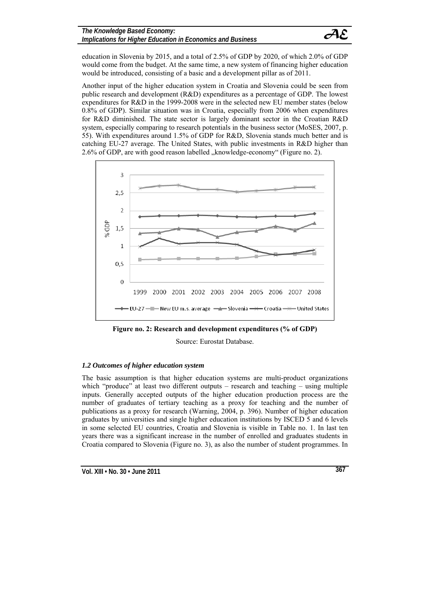

education in Slovenia by 2015, and a total of 2.5% of GDP by 2020, of which 2.0% of GDP would come from the budget. At the same time, a new system of financing higher education would be introduced, consisting of a basic and a development pillar as of 2011.

Another input of the higher education system in Croatia and Slovenia could be seen from public research and development (R&D) expenditures as a percentage of GDP. The lowest expenditures for R&D in the 1999-2008 were in the selected new EU member states (below 0.8% of GDP). Similar situation was in Croatia, especially from 2006 when expenditures for R&D diminished. The state sector is largely dominant sector in the Croatian R&D system, especially comparing to research potentials in the business sector (MoSES, 2007, p. 55). With expenditures around 1.5% of GDP for R&D, Slovenia stands much better and is catching EU-27 average. The United States, with public investments in R&D higher than 2.6% of GDP, are with good reason labelled "knowledge-economy" (Figure no. 2).



**Figure no. 2: Research and development expenditures (% of GDP)** 

Source: Eurostat Database.

# *1.2 Outcomes of higher education system*

The basic assumption is that higher education systems are multi-product organizations which "produce" at least two different outputs – research and teaching – using multiple inputs. Generally accepted outputs of the higher education production process are the number of graduates of tertiary teaching as a proxy for teaching and the number of publications as a proxy for research (Warning, 2004, p. 396). Number of higher education graduates by universities and single higher education institutions by ISCED 5 and 6 levels in some selected EU countries, Croatia and Slovenia is visible in Table no. 1. In last ten years there was a significant increase in the number of enrolled and graduates students in Croatia compared to Slovenia (Figure no. 3), as also the number of student programmes. In

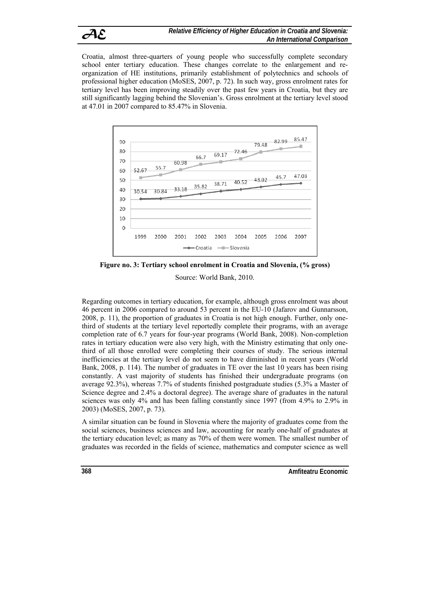Croatia, almost three-quarters of young people who successfully complete secondary school enter tertiary education. These changes correlate to the enlargement and reorganization of HE institutions, primarily establishment of polytechnics and schools of professional higher education (MoSES, 2007, p. 72). In such way, gross enrolment rates for tertiary level has been improving steadily over the past few years in Croatia, but they are still significantly lagging behind the Slovenian's. Gross enrolment at the tertiary level stood at 47.01 in 2007 compared to 85.47% in Slovenia.



**Figure no. 3: Tertiary school enrolment in Croatia and Slovenia, (% gross)**  Source: World Bank, 2010.

Regarding outcomes in tertiary education, for example, although gross enrolment was about 46 percent in 2006 compared to around 53 percent in the EU-10 (Jafarov and Gunnarsson, 2008, p. 11), the proportion of graduates in Croatia is not high enough. Further, only onethird of students at the tertiary level reportedly complete their programs, with an average completion rate of 6.7 years for four-year programs (World Bank, 2008). Non-completion rates in tertiary education were also very high, with the Ministry estimating that only onethird of all those enrolled were completing their courses of study. The serious internal inefficiencies at the tertiary level do not seem to have diminished in recent years (World Bank, 2008, p. 114). The number of graduates in TE over the last 10 years has been rising constantly. A vast majority of students has finished their undergraduate programs (on average 92.3%), whereas 7.7% of students finished postgraduate studies (5.3% a Master of Science degree and 2.4% a doctoral degree). The average share of graduates in the natural sciences was only 4% and has been falling constantly since 1997 (from 4.9% to 2.9% in 2003) (MoSES, 2007, p. 73).

A similar situation can be found in Slovenia where the majority of graduates come from the social sciences, business sciences and law, accounting for nearly one-half of graduates at the tertiary education level; as many as 70% of them were women. The smallest number of graduates was recorded in the fields of science, mathematics and computer science as well

**368 Amfiteatru Economic**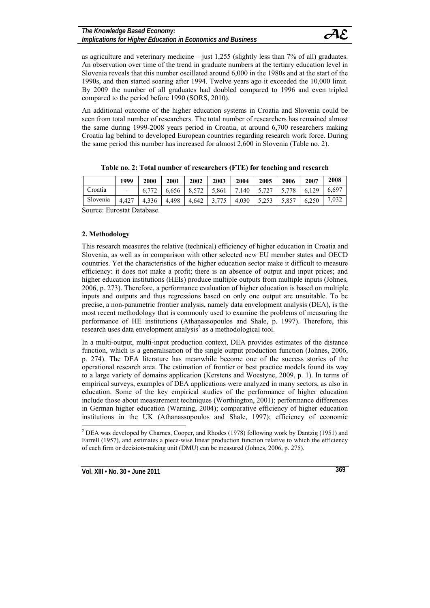as agriculture and veterinary medicine  $-$  just 1,255 (slightly less than 7% of all) graduates. An observation over time of the trend in graduate numbers at the tertiary education level in Slovenia reveals that this number oscillated around 6,000 in the 1980s and at the start of the 1990s, and then started soaring after 1994. Twelve years ago it exceeded the 10,000 limit. By 2009 the number of all graduates had doubled compared to 1996 and even tripled compared to the period before 1990 (SORS, 2010).

An additional outcome of the higher education systems in Croatia and Slovenia could be seen from total number of researchers. The total number of researchers has remained almost the same during 1999-2008 years period in Croatia, at around 6,700 researchers making Croatia lag behind to developed European countries regarding research work force. During the same period this number has increased for almost 2,600 in Slovenia (Table no. 2).

|          | 1999                     | 2000  | 2001                                                                          | 2002 | 2003          | 2004            | 2005 | 2006  | 2007  | 2008  |
|----------|--------------------------|-------|-------------------------------------------------------------------------------|------|---------------|-----------------|------|-------|-------|-------|
| Croatia  | $\overline{\phantom{0}}$ |       | $6,772$   $6,656$   $8,572$   $5,861$   $7,140$   $5,727$   $5,778$   $6,129$ |      |               |                 |      |       |       | 6,697 |
| Slovenia | 4.427                    | 4.336 | 4,498                                                                         |      | $4,642$ 3,775 | $ 4,030 $ 5,253 |      | 5,857 | 6,250 | 7,032 |

| Table no. 2: Total number of researchers (FTE) for teaching and research |
|--------------------------------------------------------------------------|
|--------------------------------------------------------------------------|

Source: Eurostat Database.

#### **2. Methodology**

This research measures the relative (technical) efficiency of higher education in Croatia and Slovenia, as well as in comparison with other selected new EU member states and OECD countries. Yet the characteristics of the higher education sector make it difficult to measure efficiency: it does not make a profit; there is an absence of output and input prices; and higher education institutions (HEIs) produce multiple outputs from multiple inputs (Johnes, 2006, p. 273). Therefore, a performance evaluation of higher education is based on multiple inputs and outputs and thus regressions based on only one output are unsuitable. To be precise, a non-parametric frontier analysis, namely data envelopment analysis (DEA), is the most recent methodology that is commonly used to examine the problems of measuring the performance of HE institutions (Athanassopoulos and Shale, p. 1997). Therefore, this research uses data envelopment analysis<sup>2</sup> as a methodological tool.

In a multi-output, multi-input production context, DEA provides estimates of the distance function, which is a generalisation of the single output production function (Johnes, 2006, p. 274). The DEA literature has meanwhile become one of the success stories of the operational research area. The estimation of frontier or best practice models found its way to a large variety of domains application (Kerstens and Woestyne, 2009, p. 1). In terms of empirical surveys, examples of DEA applications were analyzed in many sectors, as also in education. Some of the key empirical studies of the performance of higher education include those about measurement techniques (Worthington, 2001); performance differences in German higher education (Warning, 2004); comparative efficiency of higher education institutions in the UK (Athanassopoulos and Shale, 1997); efficiency of economic

<sup>&</sup>lt;sup>2</sup> DEA was developed by Charnes, Cooper, and Rhodes (1978) following work by Dantzig (1951) and Farrell (1957), and estimates a piece-wise linear production function relative to which the efficiency of each firm or decision-making unit (DMU) can be measured (Johnes, 2006, p. 275).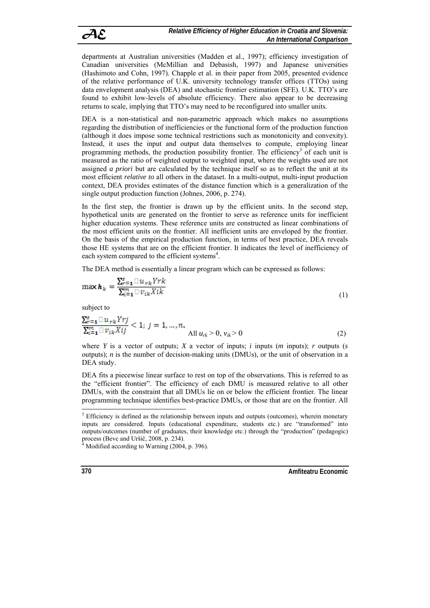departments at Australian universities (Madden et al., 1997); efficiency investigation of Canadian universities (McMillian and Debasish, 1997) and Japanese universities (Hashimoto and Cohn, 1997). Chapple et al. in their paper from 2005, presented evidence of the relative performance of U.K. university technology transfer offices (TTOs) using data envelopment analysis (DEA) and stochastic frontier estimation (SFE). U.K. TTO's are found to exhibit low-levels of absolute efficiency. There also appear to be decreasing returns to scale, implying that TTO's may need to be reconfigured into smaller units.

DEA is a non-statistical and non-parametric approach which makes no assumptions regarding the distribution of inefficiencies or the functional form of the production function (although it does impose some technical restrictions such as monotonicity and convexity). Instead, it uses the input and output data themselves to compute, employing linear programming methods, the production possibility frontier. The efficiency<sup>3</sup> of each unit is measured as the ratio of weighted output to weighted input, where the weights used are not assigned *a priori* but are calculated by the technique itself so as to reflect the unit at its most efficient *relative to* all others in the dataset. In a multi-output, multi-input production context, DEA provides estimates of the distance function which is a generalization of the single output production function (Johnes, 2006, p. 274).

In the first step, the frontier is drawn up by the efficient units. In the second step, hypothetical units are generated on the frontier to serve as reference units for inefficient higher education systems. These reference units are constructed as linear combinations of the most efficient units on the frontier. All inefficient units are enveloped by the frontier. On the basis of the empirical production function, in terms of best practice, DEA reveals those HE systems that are on the efficient frontier. It indicates the level of inefficiency of each system compared to the efficient systems<sup>4</sup>.

The DEA method is essentially a linear program which can be expressed as follows:

$$
\max \mathbf{h}_k = \frac{\sum_{r=1}^{s} \prod u_{rk} Y r k}{\sum_{i=1}^{m} \prod v_{ik} X i k}
$$
(1)

subject to

$$
\sum_{r=1}^{s} \frac{\prod_{r=1}^{s} u_{rk} Y r j}{\sum_{i=1}^{m} \prod_{r=1}^{s} v_{ik} X i j} < 1; \ j = 1, \dots, n. \tag{2}
$$

where *Y* is a vector of outputs; *X* a vector of inputs; *i* inputs (*m* inputs); *r* outputs (*s* outputs); *n* is the number of decision-making units (DMUs), or the unit of observation in a DEA study.

DEA fits a piecewise linear surface to rest on top of the observations. This is referred to as the "efficient frontier". The efficiency of each DMU is measured relative to all other DMUs, with the constraint that all DMUs lie on or below the efficient frontier. The linear programming technique identifies best-practice DMUs, or those that are on the frontier. All  $\overline{a}$ 

**370 Amfitteatru Economic Amfitteatru Economic** 

 $3$  Efficiency is defined as the relationship between inputs and outputs (outcomes), wherein monetary inputs are considered. Inputs (educational expenditure, students etc.) are "transformed" into outputs/outcomes (number of graduates, their knowledge etc.) through the "production" (pedagogic) process (Bevc and Uršič, 2008, p. 234).<br><sup>4</sup> Modified according to Warning (2004, p. 396).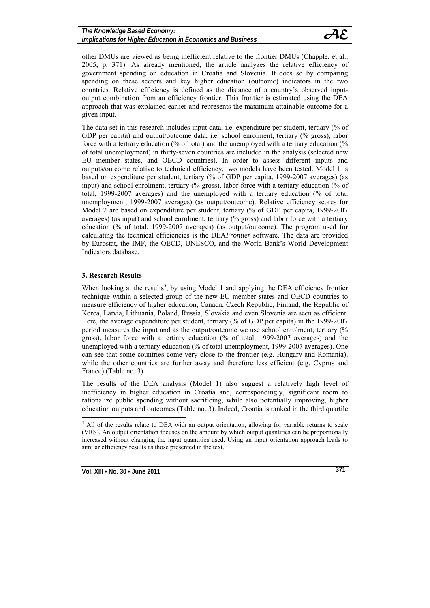other DMUs are viewed as being inefficient relative to the frontier DMUs (Chapple, et al., 2005, p. 371). As already mentioned, the article analyzes the relative efficiency of government spending on education in Croatia and Slovenia. It does so by comparing spending on these sectors and key higher education (outcome) indicators in the two countries. Relative efficiency is defined as the distance of a country's observed inputoutput combination from an efficiency frontier. This frontier is estimated using the DEA approach that was explained earlier and represents the maximum attainable outcome for a given input.

The data set in this research includes input data, i.e. expenditure per student, tertiary (% of GDP per capita) and output/outcome data, i.e. school enrolment, tertiary (% gross), labor force with a tertiary education (% of total) and the unemployed with a tertiary education (% of total unemployment) in thirty-seven countries are included in the analysis (selected new EU member states, and OECD countries). In order to assess different inputs and outputs/outcome relative to technical efficiency, two models have been tested. Model 1 is based on expenditure per student, tertiary (% of GDP per capita, 1999-2007 averages) (as input) and school enrolment, tertiary (% gross), labor force with a tertiary education (% of total, 1999-2007 averages) and the unemployed with a tertiary education (% of total unemployment, 1999-2007 averages) (as output/outcome). Relative efficiency scores for Model 2 are based on expenditure per student, tertiary (% of GDP per capita, 1999-2007 averages) (as input) and school enrolment, tertiary (% gross) and labor force with a tertiary education (% of total, 1999-2007 averages) (as output/outcome). The program used for calculating the technical efficiencies is the DEA*Frontier* software. The data are provided by Eurostat, the IMF, the OECD, UNESCO, and the World Bank's World Development Indicators database.

# **3. Research Results**

When looking at the results<sup>5</sup>, by using Model 1 and applying the DEA efficiency frontier technique within a selected group of the new EU member states and OECD countries to measure efficiency of higher education, Canada, Czech Republic, Finland, the Republic of Korea, Latvia, Lithuania, Poland, Russia, Slovakia and even Slovenia are seen as efficient. Here, the average expenditure per student, tertiary (% of GDP per capita) in the 1999-2007 period measures the input and as the output/outcome we use school enrolment, tertiary (% gross), labor force with a tertiary education (% of total, 1999-2007 averages) and the unemployed with a tertiary education (% of total unemployment, 1999-2007 averages). One can see that some countries come very close to the frontier (e.g. Hungary and Romania), while the other countries are further away and therefore less efficient (e.g. Cyprus and France) (Table no. 3).

The results of the DEA analysis (Model 1) also suggest a relatively high level of inefficiency in higher education in Croatia and, correspondingly, significant room to rationalize public spending without sacrificing, while also potentially improving, higher education outputs and outcomes (Table no. 3). Indeed, Croatia is ranked in the third quartile

<sup>&</sup>lt;sup>5</sup> All of the results relate to DEA with an output orientation, allowing for variable returns to scale (VRS). An output orientation focuses on the amount by which output quantities can be proportionally increased without changing the input quantities used. Using an input orientation approach leads to similar efficiency results as those presented in the text.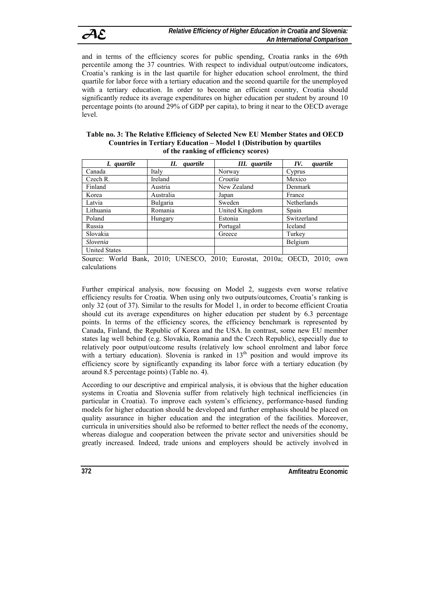and in terms of the efficiency scores for public spending, Croatia ranks in the 69th percentile among the 37 countries. With respect to individual output/outcome indicators, Croatia's ranking is in the last quartile for higher education school enrolment, the third quartile for labor force with a tertiary education and the second quartile for the unemployed with a tertiary education. In order to become an efficient country, Croatia should significantly reduce its average expenditures on higher education per student by around 10 percentage points (to around 29% of GDP per capita), to bring it near to the OECD average level.

#### **Table no. 3: The Relative Efficiency of Selected New EU Member States and OECD Countries in Tertiary Education – Model 1 (Distribution by quartiles of the ranking of efficiency scores)**

| I. quartile                                                              | П.<br>quartile                                                                          | III. quartile  | IV.<br>quartile                    |
|--------------------------------------------------------------------------|-----------------------------------------------------------------------------------------|----------------|------------------------------------|
| Canada                                                                   | Italy                                                                                   | Norway         | Cyprus                             |
| Czech R.                                                                 | Ireland                                                                                 | Croatia        | Mexico                             |
| Finland                                                                  | Austria                                                                                 | New Zealand    | Denmark                            |
| Korea                                                                    | Australia                                                                               | Japan          | France                             |
| Latvia                                                                   | Bulgaria                                                                                | Sweden         | Netherlands                        |
| Lithuania                                                                | Romania                                                                                 | United Kingdom | Spain                              |
| Poland                                                                   | Hungary                                                                                 | Estonia        | Switzerland                        |
| Russia                                                                   |                                                                                         | Portugal       | Iceland                            |
| Slovakia                                                                 |                                                                                         | Greece         | Turkey                             |
| Slovenia                                                                 |                                                                                         |                | Belgium                            |
| <b>United States</b><br>$\sim$ $\sim$ $\sim$ $\sim$ $\sim$ $\sim$ $\sim$ | $\bullet$ $\circ$ $\bullet$ $\bullet$ $\bullet$ $\bullet$ $\bullet$ $\bullet$ $\bullet$ |                | $\sim$ $\sim$ $\sim$ $\sim$ $\sim$ |

Source: World Bank, 2010; UNESCO, 2010; Eurostat, 2010a; OECD, 2010; own calculations

Further empirical analysis, now focusing on Model 2, suggests even worse relative efficiency results for Croatia. When using only two outputs/outcomes, Croatia's ranking is only 32 (out of 37). Similar to the results for Model 1, in order to become efficient Croatia should cut its average expenditures on higher education per student by 6.3 percentage points. In terms of the efficiency scores, the efficiency benchmark is represented by Canada, Finland, the Republic of Korea and the USA. In contrast, some new EU member states lag well behind (e.g. Slovakia, Romania and the Czech Republic), especially due to relatively poor output/outcome results (relatively low school enrolment and labor force with a tertiary education). Slovenia is ranked in  $13<sup>th</sup>$  position and would improve its efficiency score by significantly expanding its labor force with a tertiary education (by around 8.5 percentage points) (Table no. 4).

According to our descriptive and empirical analysis, it is obvious that the higher education systems in Croatia and Slovenia suffer from relatively high technical inefficiencies (in particular in Croatia). To improve each system's efficiency, performance-based funding models for higher education should be developed and further emphasis should be placed on quality assurance in higher education and the integration of the facilities. Moreover, curricula in universities should also be reformed to better reflect the needs of the economy, whereas dialogue and cooperation between the private sector and universities should be greatly increased. Indeed, trade unions and employers should be actively involved in

**372 Amfiteatru Economic**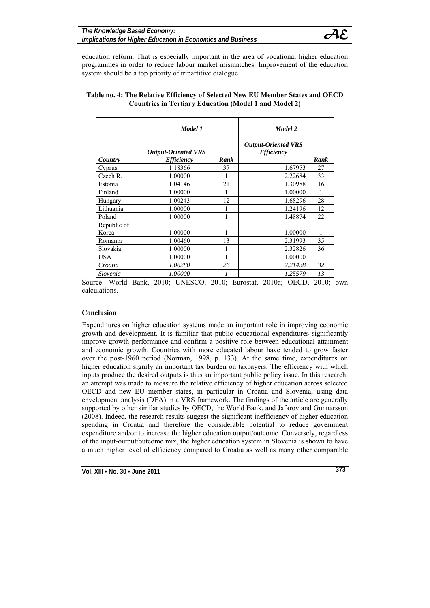

education reform. That is especially important in the area of vocational higher education programmes in order to reduce labour market mismatches. Improvement of the education system should be a top priority of tripartitive dialogue.

|                      | Model 1                                                |      | Model 2                                                |      |  |
|----------------------|--------------------------------------------------------|------|--------------------------------------------------------|------|--|
| Country              | <b>Output-Oriented VRS</b><br><i><b>Efficiency</b></i> | Rank | <b>Output-Oriented VRS</b><br><i><b>Efficiency</b></i> | Rank |  |
| Cyprus               | 1.18366                                                | 37   | 1.67953                                                | 27   |  |
| Czech R.             | 1.00000                                                | 1    | 2.22684                                                | 33   |  |
| Estonia              | 1.04146                                                | 21   | 1.30988                                                | 16   |  |
| Finland              | 1.00000                                                | 1    | 1.00000                                                |      |  |
| Hungary              | 1.00243                                                | 12   | 1.68296                                                | 28   |  |
| Lithuania            | 1.00000                                                | 1    | 1.24196                                                | 12   |  |
| Poland               | 1.00000                                                | 1    | 1.48874                                                | 22   |  |
| Republic of<br>Korea | 1.00000                                                | 1    | 1.00000                                                |      |  |
| Romania              | 1.00460                                                | 13   | 2.31993                                                | 35   |  |
| Slovakia             | 1.00000                                                | 1    | 2.32826                                                | 36   |  |
| <b>USA</b>           | 1.00000                                                | 1    | 1.00000                                                |      |  |
| Croatia              | 1.06280                                                | 26   | 2.21438                                                | 32   |  |
| Slovenia             | <i>1.00000</i>                                         | 1    | 1.25579                                                | 13   |  |

# **Table no. 4: The Relative Efficiency of Selected New EU Member States and OECD Countries in Tertiary Education (Model 1 and Model 2)**

Source: World Bank, 2010; UNESCO, 2010; Eurostat, 2010a; OECD, 2010; own calculations.

## **Conclusion**

Expenditures on higher education systems made an important role in improving economic growth and development. It is familiar that public educational expenditures significantly improve growth performance and confirm a positive role between educational attainment and economic growth. Countries with more educated labour have tended to grow faster over the post-1960 period (Norman, 1998, p. 133). At the same time, expenditures on higher education signify an important tax burden on taxpayers. The efficiency with which inputs produce the desired outputs is thus an important public policy issue. In this research, an attempt was made to measure the relative efficiency of higher education across selected OECD and new EU member states, in particular in Croatia and Slovenia, using data envelopment analysis (DEA) in a VRS framework. The findings of the article are generally supported by other similar studies by OECD, the World Bank, and Jafarov and Gunnarsson (2008). Indeed, the research results suggest the significant inefficiency of higher education spending in Croatia and therefore the considerable potential to reduce government expenditure and/or to increase the higher education output/outcome. Conversely, regardless of the input-output/outcome mix, the higher education system in Slovenia is shown to have a much higher level of efficiency compared to Croatia as well as many other comparable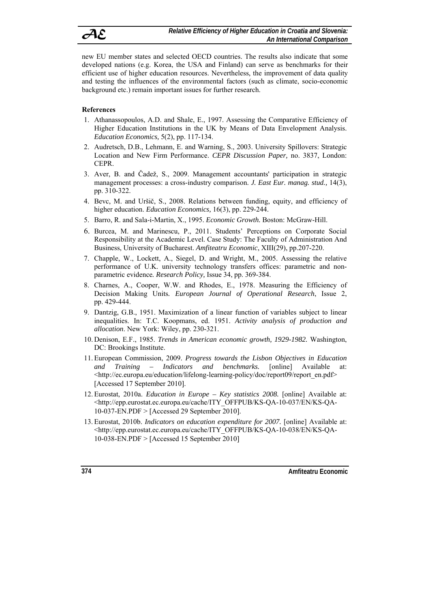new EU member states and selected OECD countries. The results also indicate that some developed nations (e.g. Korea, the USA and Finland) can serve as benchmarks for their efficient use of higher education resources. Nevertheless, the improvement of data quality and testing the influences of the environmental factors (such as climate, socio-economic background etc.) remain important issues for further research.

# **References**

- 1. Athanassopoulos, A.D. and Shale, E., 1997. Assessing the Comparative Efficiency of Higher Education Institutions in the UK by Means of Data Envelopment Analysis. *Education Economics,* 5(2), pp. 117-134.
- 2. Audretsch, D.B., Lehmann, E. and Warning, S., 2003. University Spillovers: Strategic Location and New Firm Performance. *CEPR Discussion Paper,* no. 3837, London: CEPR.
- 3. Aver, B. and Čadež, S., 2009. Management accountants' participation in strategic management processes: a cross-industry comparison. *J. East Eur. manag. stud.,* 14(3), pp. 310-322.
- 4. Bevc, M. and Uršič, S., 2008. Relations between funding, equity, and efficiency of higher education. *Education Economics,* 16(3), pp. 229-244.
- 5. Barro, R. and Sala-i-Martin, X., 1995. *Economic Growth.* Boston: McGraw-Hill.
- 6. Burcea, M. and Marinescu, P., 2011. Students' Perceptions on Corporate Social Responsibility at the Academic Level. Case Study: The Faculty of Administration And Business, University of Bucharest. *Amfiteatru Economic*, XIII(29), pp.207-220.
- 7. Chapple, W., Lockett, A., Siegel, D. and Wright, M., 2005. Assessing the relative performance of U.K. university technology transfers offices: parametric and nonparametric evidence*. Research Policy,* Issue 34, pp. 369-384.
- 8. Charnes, A., Cooper, W.W. and Rhodes, E., 1978. Measuring the Efficiency of Decision Making Units*. European Journal of Operational Research*, Issue 2, pp. 429-444.
- 9. Dantzig, G.B., 1951. Maximization of a linear function of variables subject to linear inequalities. In: T.C. Koopmans, ed. 1951. *Activity analysis of production and allocation*. New York: Wiley, pp. 230-321.
- 10. Denison, E.F., 1985. *Trends in American economic growth, 1929-1982.* Washington, DC: Brookings Institute.
- 11. European Commission, 2009. *Progress towards the Lisbon Objectives in Education and Training – Indicators and benchmarks.* [online] Available <http://ec.europa.eu/education/lifelong-learning-policy/doc/report09/report\_en.pdf> [Accessed 17 September 2010].
- 12. Eurostat, 2010a. *Education in Europe Key statistics 2008.* [online] Available at: <http://epp.eurostat.ec.europa.eu/cache/ITY\_OFFPUB/KS-QA-10-037/EN/KS-QA-10-037-EN.PDF > [Accessed 29 September 2010].
- 13. Eurostat, 2010b. *Indicators on education expenditure for 2007.* [online] Available at: <http://epp.eurostat.ec.europa.eu/cache/ITY\_OFFPUB/KS-QA-10-038/EN/KS-QA-10-038-EN.PDF > [Accessed 15 September 2010]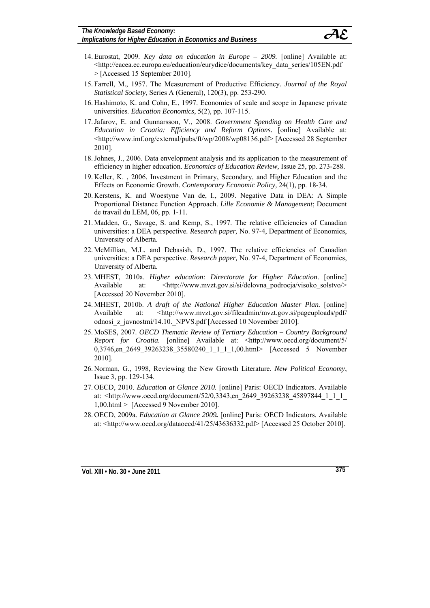*Implications for Higher Education in Economics and Business* 



- 14. Eurostat, 2009. *Key data on education in Europe 2009.* [online] Available at: <http://eacea.ec.europa.eu/education/eurydice/documents/key\_data\_series/105EN.pdf > [Accessed 15 September 2010].
- 15. Farrell, M., 1957. The Measurement of Productive Efficiency. *Journal of the Royal Statistical Society*, Series A (General), 120(3), pp. 253-290.
- 16. Hashimoto, K. and Cohn, E., 1997. Economies of scale and scope in Japanese private universities*. Education Economics*, 5(2), pp. 107-115.
- 17.Jafarov, E. and Gunnarsson, V., 2008. *Government Spending on Health Care and Education in Croatia: Efficiency and Reform Options.* [online] Available at: <http://www.imf.org/external/pubs/ft/wp/2008/wp08136.pdf> [Accessed 28 September 2010].
- 18.Johnes, J., 2006. Data envelopment analysis and its application to the measurement of efficiency in higher education. *Economics of Education Review,* Issue 25, pp. 273-288.
- 19. Keller, K. , 2006. Investment in Primary, Secondary, and Higher Education and the Effects on Economic Growth. *Contemporary Economic Policy,* 24(1), pp. 18-34.
- 20. Kerstens, K. and Woestyne Van de, I., 2009. Negative Data in DEA: A Simple Proportional Distance Function Approach. *Lille Economie & Management*; Document de travail du LEM, 06, pp. 1-11.
- 21. Madden, G., Savage, S. and Kemp, S., 1997. The relative efficiencies of Canadian universities: a DEA perspective*. Research paper,* No. 97-4, Department of Economics, University of Alberta.
- 22. McMillian, M.L. and Debasish, D., 1997. The relative efficiencies of Canadian universities: a DEA perspective. *Research paper,* No. 97-4, Department of Economics, University of Alberta.
- 23. MHEST, 2010a. *Higher education: Directorate for Higher Education*. [online] Available at: <http://www.mvzt.gov.si/si/delovna podrocja/visoko\_solstvo/> [Accessed 20 November 2010].
- 24. MHEST, 2010b. *A draft of the National Higher Education Master Plan.* [online] Available at: <http://www.mvzt.gov.si/fileadmin/mvzt.gov.si/pageuploads/pdf/ odnosi\_z\_javnostmi/14.10.\_NPVS.pdf [Accessed 10 November 2010].
- 25. MoSES, 2007. *OECD Thematic Review of Tertiary Education Country Background Report for Croatia.* [online] Available at: <http://www.oecd.org/document/5/ 0,3746,en 2649 39263238 35580240 1 1 1 1,00.html> [Accessed 5 November 2010].
- 26. Norman, G., 1998, Reviewing the New Growth Literature. *New Political Economy*, Issue 3, pp. 129-134.
- 27. OECD, 2010. *Education at Glance 2010.* [online] Paris: OECD Indicators. Available at: <http://www.oecd.org/document/52/0,3343,en\_2649\_39263238\_45897844\_1\_1\_1\_ 1,00.html > [Accessed 9 November 2010].
- 28. OECD, 2009a. *Education at Glance 2009.* [online] Paris: OECD Indicators. Available at: <http://www.oecd.org/dataoecd/41/25/43636332.pdf> [Accessed 25 October 2010].